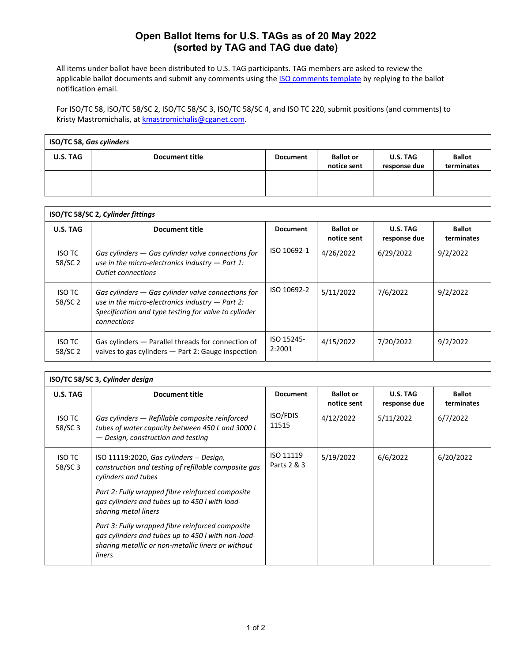## **Open Ballot Items for U.S. TAGs as of 20 May 2022 (sorted by TAG and TAG due date)**

All items under ballot have been distributed to U.S. TAG participants. TAG members are asked to review the applicable ballot documents and submit any comments using the **ISO comments template** by replying to the ballot notification email.

For ISO/TC 58, ISO/TC 58/SC 2, ISO/TC 58/SC 3, ISO/TC 58/SC 4, and ISO TC 220, submit positions (and comments) to Kristy Mastromichalis, at **kmastromichalis@cganet.com**.

| ISO/TC 58, Gas cylinders |                       |                 |                                 |                                 |                             |  |
|--------------------------|-----------------------|-----------------|---------------------------------|---------------------------------|-----------------------------|--|
| <b>U.S. TAG</b>          | <b>Document title</b> | <b>Document</b> | <b>Ballot or</b><br>notice sent | <b>U.S. TAG</b><br>response due | <b>Ballot</b><br>terminates |  |
|                          |                       |                 |                                 |                                 |                             |  |

| ISO/TC 58/SC 2, Cylinder fittings |                                                                                                                                                                                  |                      |                                 |                          |                      |  |
|-----------------------------------|----------------------------------------------------------------------------------------------------------------------------------------------------------------------------------|----------------------|---------------------------------|--------------------------|----------------------|--|
| <b>U.S. TAG</b>                   | <b>Document title</b>                                                                                                                                                            | <b>Document</b>      | <b>Ballot</b> or<br>notice sent | U.S. TAG<br>response due | Ballot<br>terminates |  |
| ISO TC<br>58/SC 2                 | Gas cylinders $-$ Gas cylinder valve connections for<br>use in the micro-electronics industry $-$ Part 1:<br><b>Outlet connections</b>                                           | ISO 10692-1          | 4/26/2022                       | 6/29/2022                | 9/2/2022             |  |
| <b>ISO TC</b><br>58/SC 2          | Gas cylinders $-$ Gas cylinder valve connections for<br>use in the micro-electronics industry $-$ Part 2:<br>Specification and type testing for valve to cylinder<br>connections | ISO 10692-2          | 5/11/2022                       | 7/6/2022                 | 9/2/2022             |  |
| <b>ISO TC</b><br>58/SC 2          | Gas cylinders - Parallel threads for connection of<br>valves to gas cylinders - Part 2: Gauge inspection                                                                         | ISO 15245-<br>2:2001 | 4/15/2022                       | 7/20/2022                | 9/2/2022             |  |

| ISO/TC 58/SC 3, Cylinder design |                                                                                                                                                                        |                          |                                 |                          |                             |  |  |
|---------------------------------|------------------------------------------------------------------------------------------------------------------------------------------------------------------------|--------------------------|---------------------------------|--------------------------|-----------------------------|--|--|
| U.S. TAG                        | <b>Document title</b>                                                                                                                                                  | <b>Document</b>          | <b>Ballot or</b><br>notice sent | U.S. TAG<br>response due | <b>Ballot</b><br>terminates |  |  |
| <b>ISO TC</b><br>58/SC 3        | Gas cylinders - Refillable composite reinforced<br>tubes of water capacity between 450 L and 3000 L<br>— Design, construction and testing                              | <b>ISO/FDIS</b><br>11515 | 4/12/2022                       | 5/11/2022                | 6/7/2022                    |  |  |
| <b>ISO TC</b><br>58/SC 3        | ISO 11119:2020, Gas cylinders -- Design,<br>construction and testing of refillable composite gas<br>cylinders and tubes                                                | ISO 11119<br>Parts 2 & 3 | 5/19/2022                       | 6/6/2022                 | 6/20/2022                   |  |  |
|                                 | Part 2: Fully wrapped fibre reinforced composite<br>gas cylinders and tubes up to 450 l with load-<br>sharing metal liners                                             |                          |                                 |                          |                             |  |  |
|                                 | Part 3: Fully wrapped fibre reinforced composite<br>gas cylinders and tubes up to 450 l with non-load-<br>sharing metallic or non-metallic liners or without<br>liners |                          |                                 |                          |                             |  |  |